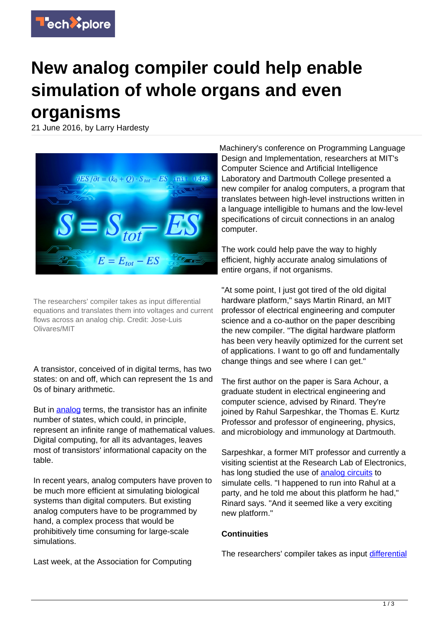

## **New analog compiler could help enable simulation of whole organs and even organisms**

21 June 2016, by Larry Hardesty



The researchers' compiler takes as input differential equations and translates them into voltages and current flows across an analog chip. Credit: Jose-Luis Olivares/MIT

A transistor, conceived of in digital terms, has two states: on and off, which can represent the 1s and 0s of binary arithmetic.

But in [analog](https://techxplore.com/tags/analog/) terms, the transistor has an infinite number of states, which could, in principle, represent an infinite range of mathematical values. Digital computing, for all its advantages, leaves most of transistors' informational capacity on the table.

In recent years, analog computers have proven to be much more efficient at simulating biological systems than digital computers. But existing analog computers have to be programmed by hand, a complex process that would be prohibitively time consuming for large-scale simulations.

Last week, at the Association for Computing

Machinery's conference on Programming Language Design and Implementation, researchers at MIT's Computer Science and Artificial Intelligence Laboratory and Dartmouth College presented a new compiler for analog computers, a program that translates between high-level instructions written in a language intelligible to humans and the low-level specifications of circuit connections in an analog computer.

The work could help pave the way to highly efficient, highly accurate analog simulations of entire organs, if not organisms.

"At some point, I just got tired of the old digital hardware platform," says Martin Rinard, an MIT professor of electrical engineering and computer science and a co-author on the paper describing the new compiler. "The digital hardware platform has been very heavily optimized for the current set of applications. I want to go off and fundamentally change things and see where I can get."

The first author on the paper is Sara Achour, a graduate student in electrical engineering and computer science, advised by Rinard. They're joined by Rahul Sarpeshkar, the Thomas E. Kurtz Professor and professor of engineering, physics, and microbiology and immunology at Dartmouth.

Sarpeshkar, a former MIT professor and currently a visiting scientist at the Research Lab of Electronics, has long studied the use of [analog circuits](https://techxplore.com/tags/analog+circuits/) to simulate cells. "I happened to run into Rahul at a party, and he told me about this platform he had," Rinard says. "And it seemed like a very exciting new platform."

## **Continuities**

The researchers' compiler takes as input [differential](https://techxplore.com/tags/differential+equations/)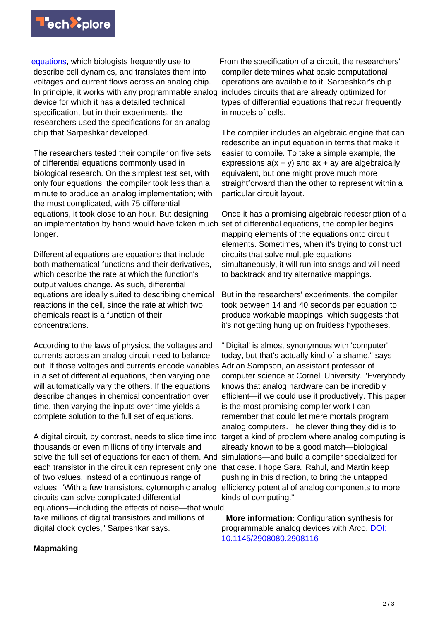

[equations](https://techxplore.com/tags/differential+equations/), which biologists frequently use to describe cell dynamics, and translates them into voltages and current flows across an analog chip. In principle, it works with any programmable analog device for which it has a detailed technical specification, but in their experiments, the researchers used the specifications for an analog chip that Sarpeshkar developed.

The researchers tested their compiler on five sets of differential equations commonly used in biological research. On the simplest test set, with only four equations, the compiler took less than a minute to produce an analog implementation; with the most complicated, with 75 differential equations, it took close to an hour. But designing an implementation by hand would have taken much longer.

Differential equations are equations that include both mathematical functions and their derivatives, which describe the rate at which the function's output values change. As such, differential equations are ideally suited to describing chemical reactions in the cell, since the rate at which two chemicals react is a function of their concentrations.

According to the laws of physics, the voltages and currents across an analog circuit need to balance out. If those voltages and currents encode variables Adrian Sampson, an assistant professor of in a set of differential equations, then varying one will automatically vary the others. If the equations describe changes in chemical concentration over time, then varying the inputs over time yields a complete solution to the full set of equations.

A digital circuit, by contrast, needs to slice time into thousands or even millions of tiny intervals and solve the full set of equations for each of them. And simulations—and build a compiler specialized for each transistor in the circuit can represent only one that case. I hope Sara, Rahul, and Martin keep of two values, instead of a continuous range of values. "With a few transistors, cytomorphic analog circuits can solve complicated differential equations—including the effects of noise—that would take millions of digital transistors and millions of digital clock cycles," Sarpeshkar says.

From the specification of a circuit, the researchers' compiler determines what basic computational operations are available to it; Sarpeshkar's chip includes circuits that are already optimized for types of differential equations that recur frequently in models of cells.

The compiler includes an algebraic engine that can redescribe an input equation in terms that make it easier to compile. To take a simple example, the expressions  $a(x + y)$  and  $ax + ay$  are algebraically equivalent, but one might prove much more straightforward than the other to represent within a particular circuit layout.

Once it has a promising algebraic redescription of a set of differential equations, the compiler begins mapping elements of the equations onto circuit elements. Sometimes, when it's trying to construct circuits that solve multiple equations simultaneously, it will run into snags and will need to backtrack and try alternative mappings.

But in the researchers' experiments, the compiler took between 14 and 40 seconds per equation to produce workable mappings, which suggests that it's not getting hung up on fruitless hypotheses.

"'Digital' is almost synonymous with 'computer' today, but that's actually kind of a shame," says computer science at Cornell University. "Everybody knows that analog hardware can be incredibly efficient—if we could use it productively. This paper is the most promising compiler work I can remember that could let mere mortals program analog computers. The clever thing they did is to target a kind of problem where analog computing is already known to be a good match—biological pushing in this direction, to bring the untapped efficiency potential of analog components to more kinds of computing."

 **More information:** Configuration synthesis for programmable analog devices with Arco. [DOI:](http://dx.doi.org/10.1145/2908080.2908116) [10.1145/2908080.2908116](http://dx.doi.org/10.1145/2908080.2908116)

## **Mapmaking**